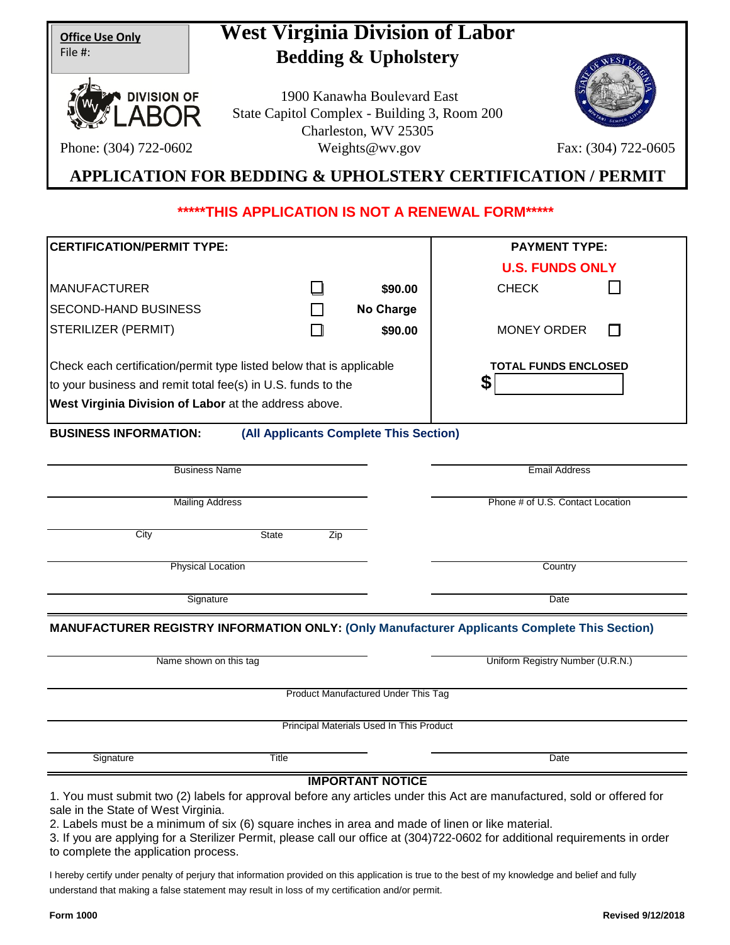| <b>Office Use Only</b> |  |
|------------------------|--|
| File #:                |  |

# **West Virginia Division of Labor Bedding & Upholstery**



Phone: (304) 722-0602

1900 Kanawha Boulevard East State Capitol Complex - Building 3, Room 200 Charleston, WV 25305 Weights@wv.gov Fax: (304) 722-0605



# **APPLICATION FOR BEDDING & UPHOLSTERY CERTIFICATION / PERMIT**

# **\*\*\*\*\*THIS APPLICATION IS NOT A RENEWAL FORM\*\*\*\*\***

| <b>CERTIFICATION/PERMIT TYPE:</b>                                    |                                        |                                            | <b>PAYMENT TYPE:</b>                                                                                                    |
|----------------------------------------------------------------------|----------------------------------------|--------------------------------------------|-------------------------------------------------------------------------------------------------------------------------|
|                                                                      |                                        |                                            | <b>U.S. FUNDS ONLY</b>                                                                                                  |
| <b>MANUFACTURER</b>                                                  |                                        | \$90.00                                    | <b>CHECK</b>                                                                                                            |
| <b>SECOND-HAND BUSINESS</b>                                          |                                        | <b>No Charge</b>                           |                                                                                                                         |
| STERILIZER (PERMIT)                                                  |                                        | \$90.00                                    | <b>MONEY ORDER</b>                                                                                                      |
| Check each certification/permit type listed below that is applicable |                                        |                                            | <b>TOTAL FUNDS ENCLOSED</b>                                                                                             |
| to your business and remit total fee(s) in U.S. funds to the         |                                        |                                            | S                                                                                                                       |
| West Virginia Division of Labor at the address above.                |                                        |                                            |                                                                                                                         |
| <b>BUSINESS INFORMATION:</b>                                         | (All Applicants Complete This Section) |                                            |                                                                                                                         |
|                                                                      |                                        |                                            |                                                                                                                         |
| <b>Business Name</b>                                                 |                                        |                                            | <b>Email Address</b>                                                                                                    |
| <b>Mailing Address</b>                                               |                                        |                                            | Phone # of U.S. Contact Location                                                                                        |
| City                                                                 | <b>State</b><br>Zip                    |                                            |                                                                                                                         |
| <b>Physical Location</b>                                             |                                        |                                            | Country                                                                                                                 |
| Signature                                                            |                                        |                                            | Date                                                                                                                    |
|                                                                      |                                        |                                            | <b>MANUFACTURER REGISTRY INFORMATION ONLY: (Only Manufacturer Applicants Complete This Section)</b>                     |
| Name shown on this tag                                               |                                        |                                            | Uniform Registry Number (U.R.N.)                                                                                        |
|                                                                      |                                        | <b>Product Manufactured Under This Tag</b> |                                                                                                                         |
|                                                                      |                                        | Principal Materials Used In This Product   |                                                                                                                         |
| Signature                                                            | <b>Title</b>                           |                                            | Date                                                                                                                    |
|                                                                      |                                        | <b>IMPORTANT NOTICE</b>                    |                                                                                                                         |
|                                                                      |                                        |                                            | 1. You must submit two (2) labels for approval before any articles under this Act are manufactured, sold or offered for |

sale in the State of West Virginia.

2. Labels must be a minimum of six (6) square inches in area and made of linen or like material.

3. If you are applying for a Sterilizer Permit, please call our office at (304)722-0602 for additional requirements in order to complete the application process.

I hereby certify under penalty of perjury that information provided on this application is true to the best of my knowledge and belief and fully understand that making a false statement may result in loss of my certification and/or permit.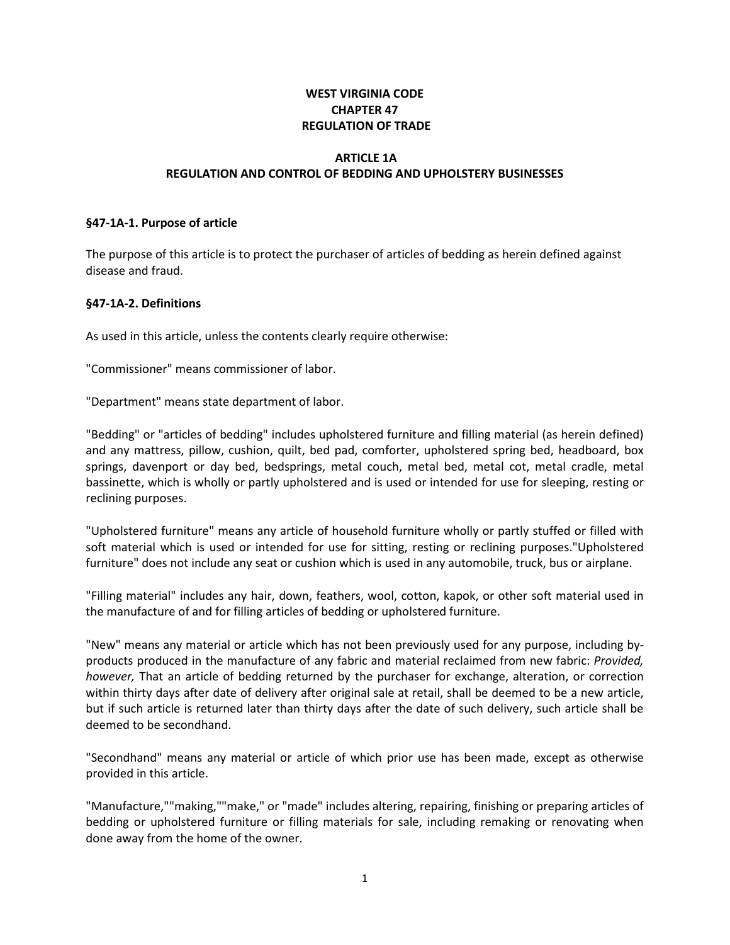# **WEST VIRGINIA CODE CHAPTER 47 REGULATION OF TRADE**

# **ARTICLE 1A REGULATION AND CONTROL OF BEDDING AND UPHOLSTERY BUSINESSES**

#### **§47-1A-1. Purpose of article**

The purpose of this article is to protect the purchaser of articles of bedding as herein defined against disease and fraud.

## **§47-1A-2. Definitions**

As used in this article, unless the contents clearly require otherwise:

"Commissioner" means commissioner of labor.

"Department" means state department of labor.

"Bedding" or "articles of bedding" includes upholstered furniture and filling material (as herein defined) and any mattress, pillow, cushion, quilt, bed pad, comforter, upholstered spring bed, headboard, box springs, davenport or day bed, bedsprings, metal couch, metal bed, metal cot, metal cradle, metal bassinette, which is wholly or partly upholstered and is used or intended for use for sleeping, resting or reclining purposes.

"Upholstered furniture" means any article of household furniture wholly or partly stuffed or filled with soft material which is used or intended for use for sitting, resting or reclining purposes."Upholstered furniture" does not include any seat or cushion which is used in any automobile, truck, bus or airplane.

"Filling material" includes any hair, down, feathers, wool, cotton, kapok, or other soft material used in the manufacture of and for filling articles of bedding or upholstered furniture.

"New" means any material or article which has not been previously used for any purpose, including byproducts produced in the manufacture of any fabric and material reclaimed from new fabric: *Provided, however,* That an article of bedding returned by the purchaser for exchange, alteration, or correction within thirty days after date of delivery after original sale at retail, shall be deemed to be a new article, but if such article is returned later than thirty days after the date of such delivery, such article shall be deemed to be secondhand.

"Secondhand" means any material or article of which prior use has been made, except as otherwise provided in this article.

"Manufacture,""making,""make," or "made" includes altering, repairing, finishing or preparing articles of bedding or upholstered furniture or filling materials for sale, including remaking or renovating when done away from the home of the owner.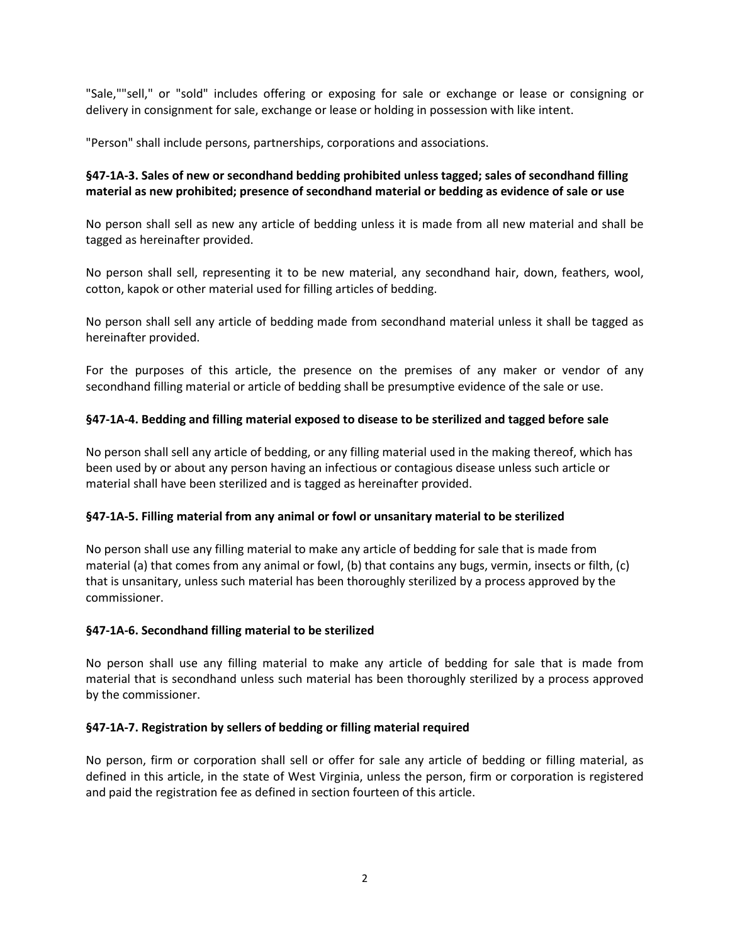"Sale,""sell," or "sold" includes offering or exposing for sale or exchange or lease or consigning or delivery in consignment for sale, exchange or lease or holding in possession with like intent.

"Person" shall include persons, partnerships, corporations and associations.

# **§47-1A-3. Sales of new or secondhand bedding prohibited unless tagged; sales of secondhand filling material as new prohibited; presence of secondhand material or bedding as evidence of sale or use**

No person shall sell as new any article of bedding unless it is made from all new material and shall be tagged as hereinafter provided.

No person shall sell, representing it to be new material, any secondhand hair, down, feathers, wool, cotton, kapok or other material used for filling articles of bedding.

No person shall sell any article of bedding made from secondhand material unless it shall be tagged as hereinafter provided.

For the purposes of this article, the presence on the premises of any maker or vendor of any secondhand filling material or article of bedding shall be presumptive evidence of the sale or use.

## **§47-1A-4. Bedding and filling material exposed to disease to be sterilized and tagged before sale**

No person shall sell any article of bedding, or any filling material used in the making thereof, which has been used by or about any person having an infectious or contagious disease unless such article or material shall have been sterilized and is tagged as hereinafter provided.

## **§47-1A-5. Filling material from any animal or fowl or unsanitary material to be sterilized**

No person shall use any filling material to make any article of bedding for sale that is made from material (a) that comes from any animal or fowl, (b) that contains any bugs, vermin, insects or filth, (c) that is unsanitary, unless such material has been thoroughly sterilized by a process approved by the commissioner.

## **§47-1A-6. Secondhand filling material to be sterilized**

No person shall use any filling material to make any article of bedding for sale that is made from material that is secondhand unless such material has been thoroughly sterilized by a process approved by the commissioner.

## **§47-1A-7. Registration by sellers of bedding or filling material required**

No person, firm or corporation shall sell or offer for sale any article of bedding or filling material, as defined in this article, in the state of West Virginia, unless the person, firm or corporation is registered and paid the registration fee as defined in section fourteen of this article.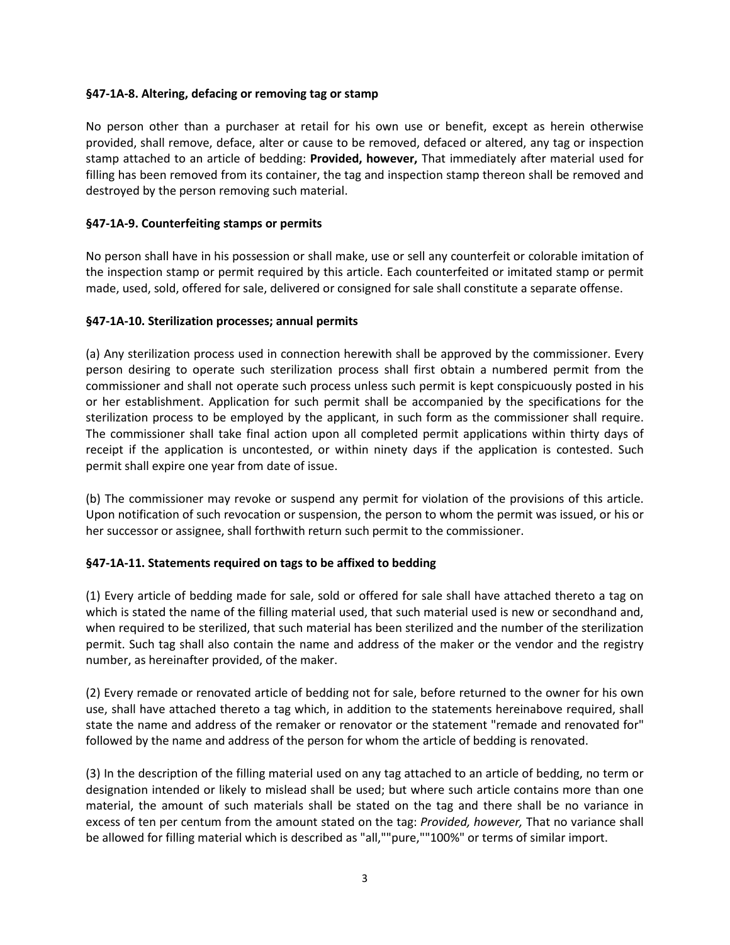#### **§47-1A-8. Altering, defacing or removing tag or stamp**

No person other than a purchaser at retail for his own use or benefit, except as herein otherwise provided, shall remove, deface, alter or cause to be removed, defaced or altered, any tag or inspection stamp attached to an article of bedding: **Provided, however,** That immediately after material used for filling has been removed from its container, the tag and inspection stamp thereon shall be removed and destroyed by the person removing such material.

#### **§47-1A-9. Counterfeiting stamps or permits**

No person shall have in his possession or shall make, use or sell any counterfeit or colorable imitation of the inspection stamp or permit required by this article. Each counterfeited or imitated stamp or permit made, used, sold, offered for sale, delivered or consigned for sale shall constitute a separate offense.

#### **§47-1A-10. Sterilization processes; annual permits**

(a) Any sterilization process used in connection herewith shall be approved by the commissioner. Every person desiring to operate such sterilization process shall first obtain a numbered permit from the commissioner and shall not operate such process unless such permit is kept conspicuously posted in his or her establishment. Application for such permit shall be accompanied by the specifications for the sterilization process to be employed by the applicant, in such form as the commissioner shall require. The commissioner shall take final action upon all completed permit applications within thirty days of receipt if the application is uncontested, or within ninety days if the application is contested. Such permit shall expire one year from date of issue.

(b) The commissioner may revoke or suspend any permit for violation of the provisions of this article. Upon notification of such revocation or suspension, the person to whom the permit was issued, or his or her successor or assignee, shall forthwith return such permit to the commissioner.

#### **§47-1A-11. Statements required on tags to be affixed to bedding**

(1) Every article of bedding made for sale, sold or offered for sale shall have attached thereto a tag on which is stated the name of the filling material used, that such material used is new or secondhand and, when required to be sterilized, that such material has been sterilized and the number of the sterilization permit. Such tag shall also contain the name and address of the maker or the vendor and the registry number, as hereinafter provided, of the maker.

(2) Every remade or renovated article of bedding not for sale, before returned to the owner for his own use, shall have attached thereto a tag which, in addition to the statements hereinabove required, shall state the name and address of the remaker or renovator or the statement "remade and renovated for" followed by the name and address of the person for whom the article of bedding is renovated.

(3) In the description of the filling material used on any tag attached to an article of bedding, no term or designation intended or likely to mislead shall be used; but where such article contains more than one material, the amount of such materials shall be stated on the tag and there shall be no variance in excess of ten per centum from the amount stated on the tag: *Provided, however,* That no variance shall be allowed for filling material which is described as "all,""pure,""100%" or terms of similar import.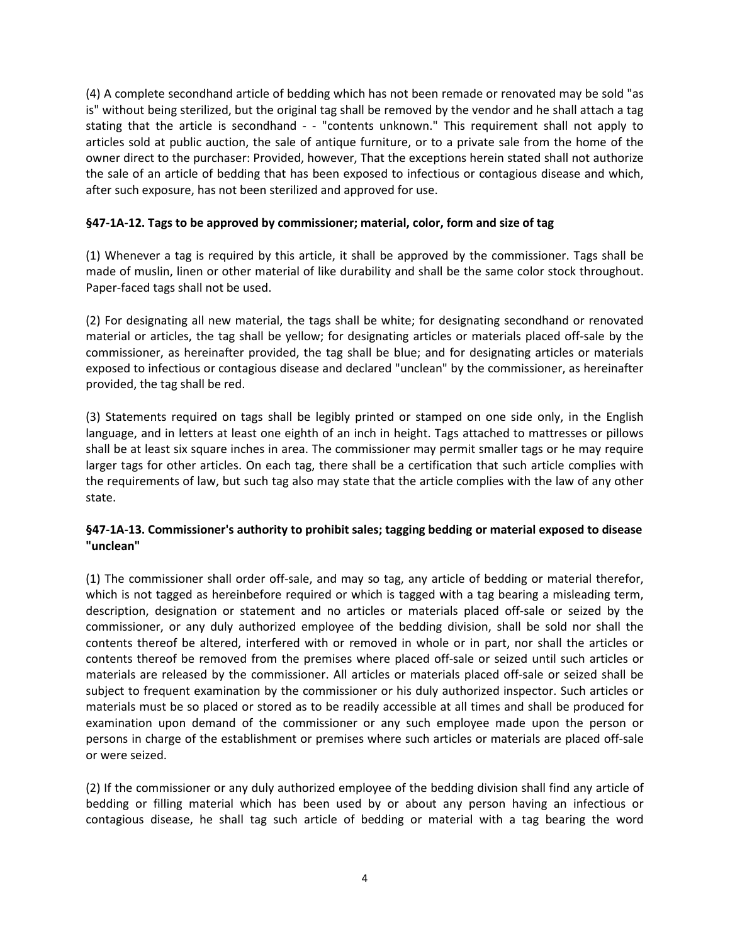(4) A complete secondhand article of bedding which has not been remade or renovated may be sold "as is" without being sterilized, but the original tag shall be removed by the vendor and he shall attach a tag stating that the article is secondhand - - "contents unknown." This requirement shall not apply to articles sold at public auction, the sale of antique furniture, or to a private sale from the home of the owner direct to the purchaser: Provided, however, That the exceptions herein stated shall not authorize the sale of an article of bedding that has been exposed to infectious or contagious disease and which, after such exposure, has not been sterilized and approved for use.

# **§47-1A-12. Tags to be approved by commissioner; material, color, form and size of tag**

(1) Whenever a tag is required by this article, it shall be approved by the commissioner. Tags shall be made of muslin, linen or other material of like durability and shall be the same color stock throughout. Paper-faced tags shall not be used.

(2) For designating all new material, the tags shall be white; for designating secondhand or renovated material or articles, the tag shall be yellow; for designating articles or materials placed off-sale by the commissioner, as hereinafter provided, the tag shall be blue; and for designating articles or materials exposed to infectious or contagious disease and declared "unclean" by the commissioner, as hereinafter provided, the tag shall be red.

(3) Statements required on tags shall be legibly printed or stamped on one side only, in the English language, and in letters at least one eighth of an inch in height. Tags attached to mattresses or pillows shall be at least six square inches in area. The commissioner may permit smaller tags or he may require larger tags for other articles. On each tag, there shall be a certification that such article complies with the requirements of law, but such tag also may state that the article complies with the law of any other state.

# **§47-1A-13. Commissioner's authority to prohibit sales; tagging bedding or material exposed to disease "unclean"**

(1) The commissioner shall order off-sale, and may so tag, any article of bedding or material therefor, which is not tagged as hereinbefore required or which is tagged with a tag bearing a misleading term, description, designation or statement and no articles or materials placed off-sale or seized by the commissioner, or any duly authorized employee of the bedding division, shall be sold nor shall the contents thereof be altered, interfered with or removed in whole or in part, nor shall the articles or contents thereof be removed from the premises where placed off-sale or seized until such articles or materials are released by the commissioner. All articles or materials placed off-sale or seized shall be subject to frequent examination by the commissioner or his duly authorized inspector. Such articles or materials must be so placed or stored as to be readily accessible at all times and shall be produced for examination upon demand of the commissioner or any such employee made upon the person or persons in charge of the establishment or premises where such articles or materials are placed off-sale or were seized.

(2) If the commissioner or any duly authorized employee of the bedding division shall find any article of bedding or filling material which has been used by or about any person having an infectious or contagious disease, he shall tag such article of bedding or material with a tag bearing the word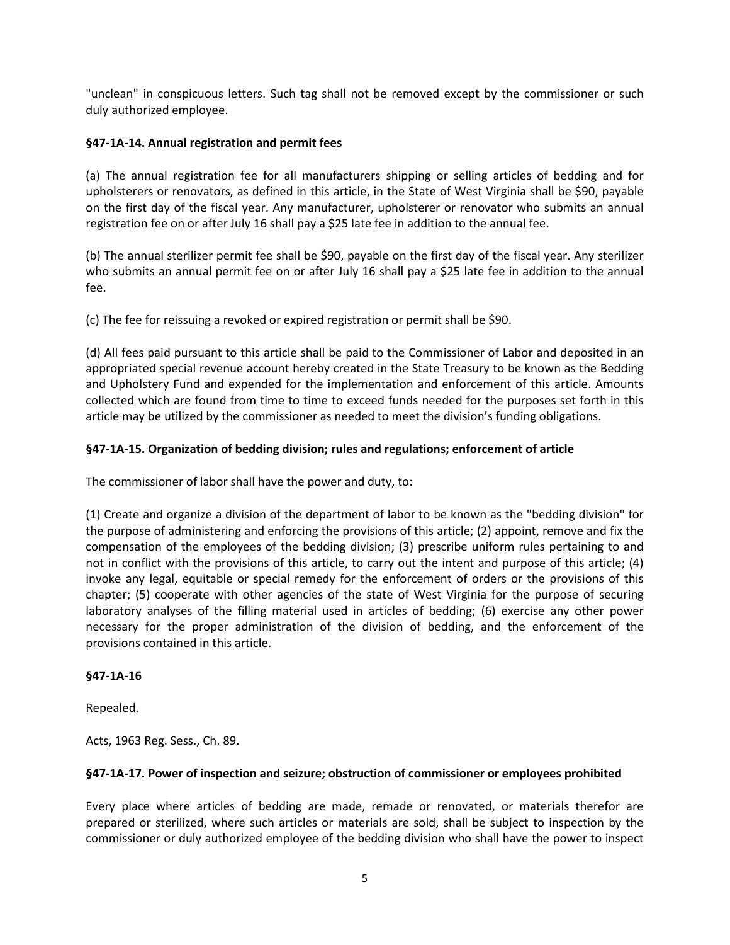"unclean" in conspicuous letters. Such tag shall not be removed except by the commissioner or such duly authorized employee.

# **§47-1A-14. Annual registration and permit fees**

(a) The annual registration fee for all manufacturers shipping or selling articles of bedding and for upholsterers or renovators, as defined in this article, in the State of West Virginia shall be \$90, payable on the first day of the fiscal year. Any manufacturer, upholsterer or renovator who submits an annual registration fee on or after July 16 shall pay a \$25 late fee in addition to the annual fee.

(b) The annual sterilizer permit fee shall be \$90, payable on the first day of the fiscal year. Any sterilizer who submits an annual permit fee on or after July 16 shall pay a \$25 late fee in addition to the annual fee.

(c) The fee for reissuing a revoked or expired registration or permit shall be \$90.

(d) All fees paid pursuant to this article shall be paid to the Commissioner of Labor and deposited in an appropriated special revenue account hereby created in the State Treasury to be known as the Bedding and Upholstery Fund and expended for the implementation and enforcement of this article. Amounts collected which are found from time to time to exceed funds needed for the purposes set forth in this article may be utilized by the commissioner as needed to meet the division's funding obligations.

# **§47-1A-15. Organization of bedding division; rules and regulations; enforcement of article**

The commissioner of labor shall have the power and duty, to:

(1) Create and organize a division of the department of labor to be known as the "bedding division" for the purpose of administering and enforcing the provisions of this article; (2) appoint, remove and fix the compensation of the employees of the bedding division; (3) prescribe uniform rules pertaining to and not in conflict with the provisions of this article, to carry out the intent and purpose of this article; (4) invoke any legal, equitable or special remedy for the enforcement of orders or the provisions of this chapter; (5) cooperate with other agencies of the state of West Virginia for the purpose of securing laboratory analyses of the filling material used in articles of bedding; (6) exercise any other power necessary for the proper administration of the division of bedding, and the enforcement of the provisions contained in this article.

## **§47-1A-16**

Repealed.

Acts, 1963 Reg. Sess., Ch. 89.

## **§47-1A-17. Power of inspection and seizure; obstruction of commissioner or employees prohibited**

Every place where articles of bedding are made, remade or renovated, or materials therefor are prepared or sterilized, where such articles or materials are sold, shall be subject to inspection by the commissioner or duly authorized employee of the bedding division who shall have the power to inspect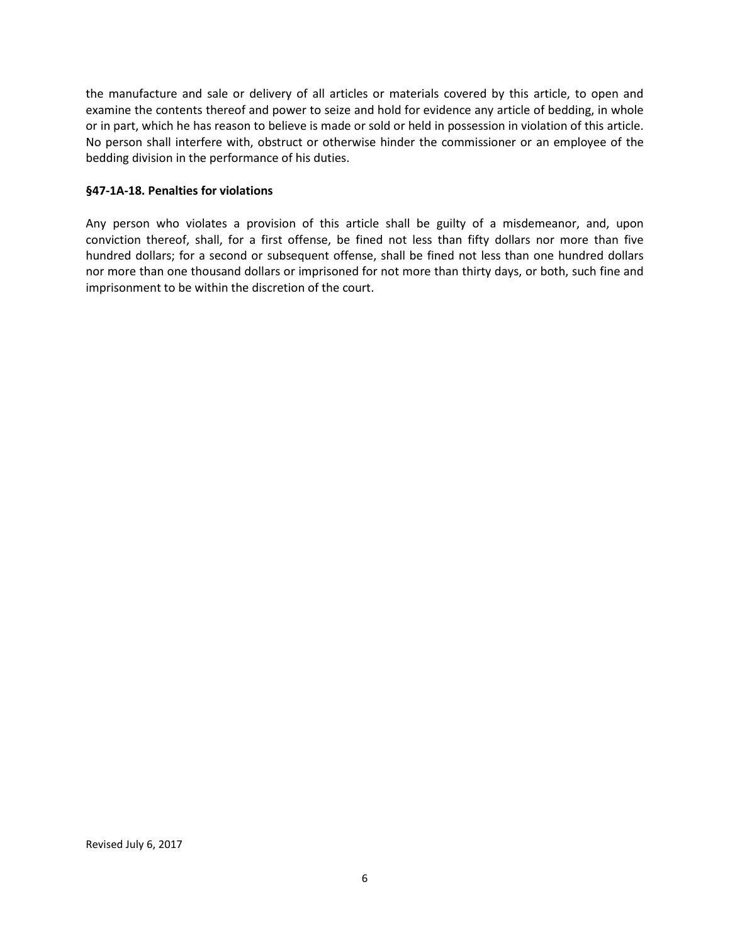the manufacture and sale or delivery of all articles or materials covered by this article, to open and examine the contents thereof and power to seize and hold for evidence any article of bedding, in whole or in part, which he has reason to believe is made or sold or held in possession in violation of this article. No person shall interfere with, obstruct or otherwise hinder the commissioner or an employee of the bedding division in the performance of his duties.

#### **§47-1A-18. Penalties for violations**

Any person who violates a provision of this article shall be guilty of a misdemeanor, and, upon conviction thereof, shall, for a first offense, be fined not less than fifty dollars nor more than five hundred dollars; for a second or subsequent offense, shall be fined not less than one hundred dollars nor more than one thousand dollars or imprisoned for not more than thirty days, or both, such fine and imprisonment to be within the discretion of the court.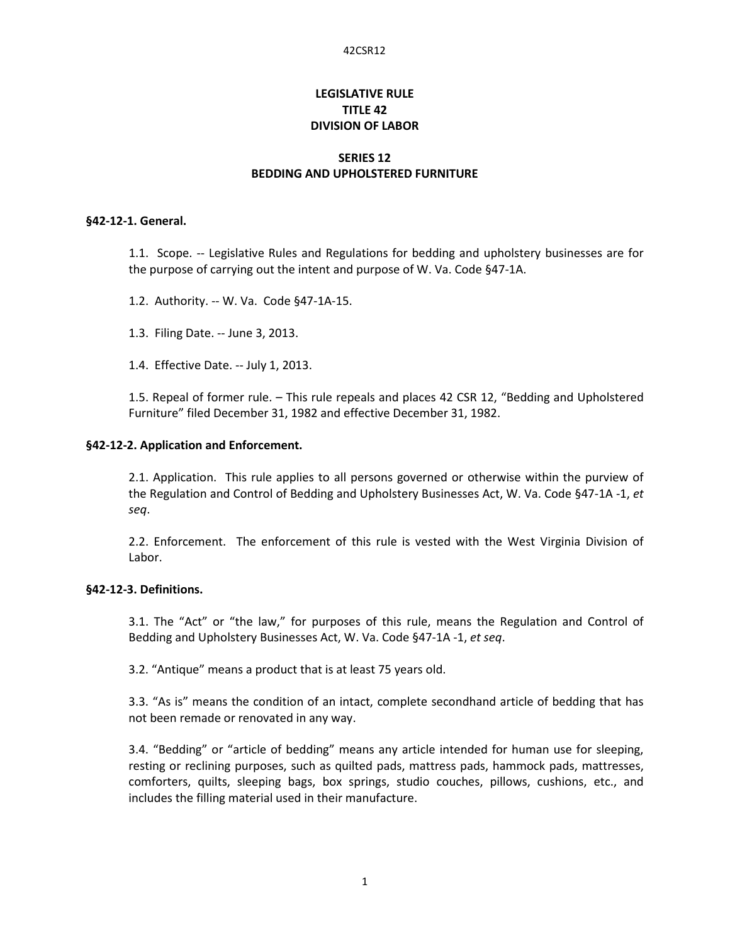# **LEGISLATIVE RULE TITLE 42 DIVISION OF LABOR**

## **SERIES 12 BEDDING AND UPHOLSTERED FURNITURE**

#### **§42-12-1. General.**

1.1. Scope. -- Legislative Rules and Regulations for bedding and upholstery businesses are for the purpose of carrying out the intent and purpose of W. Va. Code §47-1A.

1.2. Authority. -- W. Va. Code §47-1A-15.

1.3. Filing Date. -- June 3, 2013.

1.4. Effective Date. -- July 1, 2013.

1.5. Repeal of former rule. – This rule repeals and places 42 CSR 12, "Bedding and Upholstered Furniture" filed December 31, 1982 and effective December 31, 1982.

#### **§42-12-2. Application and Enforcement.**

2.1. Application. This rule applies to all persons governed or otherwise within the purview of the Regulation and Control of Bedding and Upholstery Businesses Act, W. Va. Code §47-1A -1, *et seq*.

2.2. Enforcement. The enforcement of this rule is vested with the West Virginia Division of Labor.

# **§42-12-3. Definitions.**

3.1. The "Act" or "the law," for purposes of this rule, means the Regulation and Control of Bedding and Upholstery Businesses Act, W. Va. Code §47-1A -1, *et seq*.

3.2. "Antique" means a product that is at least 75 years old.

3.3. "As is" means the condition of an intact, complete secondhand article of bedding that has not been remade or renovated in any way.

3.4. "Bedding" or "article of bedding" means any article intended for human use for sleeping, resting or reclining purposes, such as quilted pads, mattress pads, hammock pads, mattresses, comforters, quilts, sleeping bags, box springs, studio couches, pillows, cushions, etc., and includes the filling material used in their manufacture.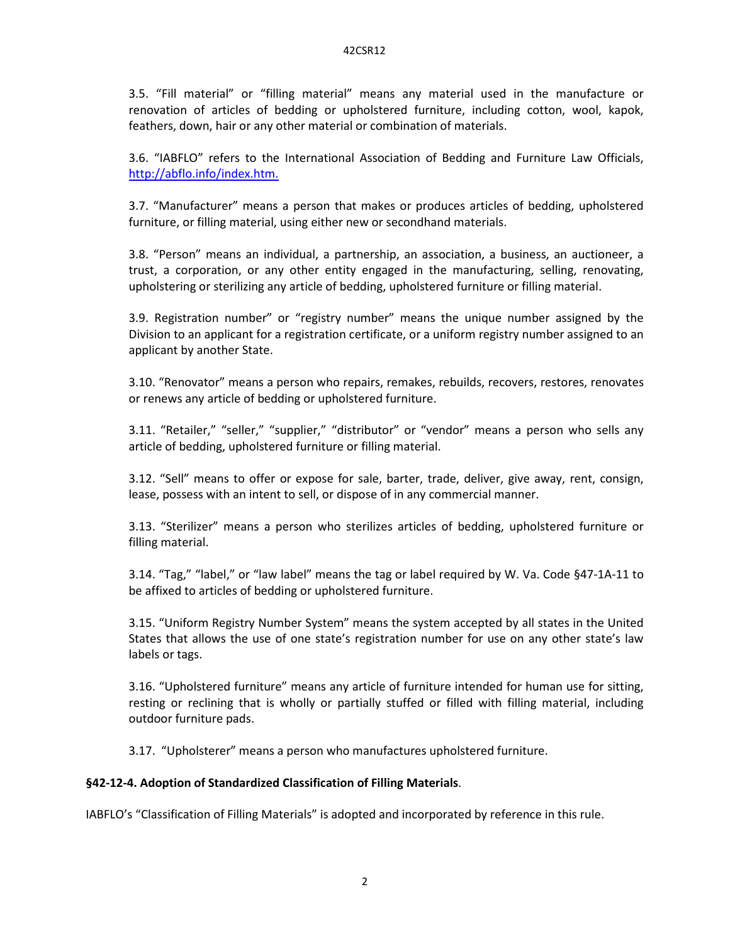3.5. "Fill material" or "filling material" means any material used in the manufacture or renovation of articles of bedding or upholstered furniture, including cotton, wool, kapok, feathers, down, hair or any other material or combination of materials.

3.6. "IABFLO" refers to the International Association of Bedding and Furniture Law Officials, http://abflo.info/index.htm.

3.7. "Manufacturer" means a person that makes or produces articles of bedding, upholstered furniture, or filling material, using either new or secondhand materials.

3.8. "Person" means an individual, a partnership, an association, a business, an auctioneer, a trust, a corporation, or any other entity engaged in the manufacturing, selling, renovating, upholstering or sterilizing any article of bedding, upholstered furniture or filling material.

3.9. Registration number" or "registry number" means the unique number assigned by the Division to an applicant for a registration certificate, or a uniform registry number assigned to an applicant by another State.

3.10. "Renovator" means a person who repairs, remakes, rebuilds, recovers, restores, renovates or renews any article of bedding or upholstered furniture.

3.11. "Retailer," "seller," "supplier," "distributor" or "vendor" means a person who sells any article of bedding, upholstered furniture or filling material.

3.12. "Sell" means to offer or expose for sale, barter, trade, deliver, give away, rent, consign, lease, possess with an intent to sell, or dispose of in any commercial manner.

3.13. "Sterilizer" means a person who sterilizes articles of bedding, upholstered furniture or filling material.

3.14. "Tag," "label," or "law label" means the tag or label required by W. Va. Code §47-1A-11 to be affixed to articles of bedding or upholstered furniture.

3.15. "Uniform Registry Number System" means the system accepted by all states in the United States that allows the use of one state's registration number for use on any other state's law labels or tags.

3.16. "Upholstered furniture" means any article of furniture intended for human use for sitting, resting or reclining that is wholly or partially stuffed or filled with filling material, including outdoor furniture pads.

3.17. "Upholsterer" means a person who manufactures upholstered furniture.

#### **§42-12-4. Adoption of Standardized Classification of Filling Materials**.

IABFLO's "Classification of Filling Materials" is adopted and incorporated by reference in this rule.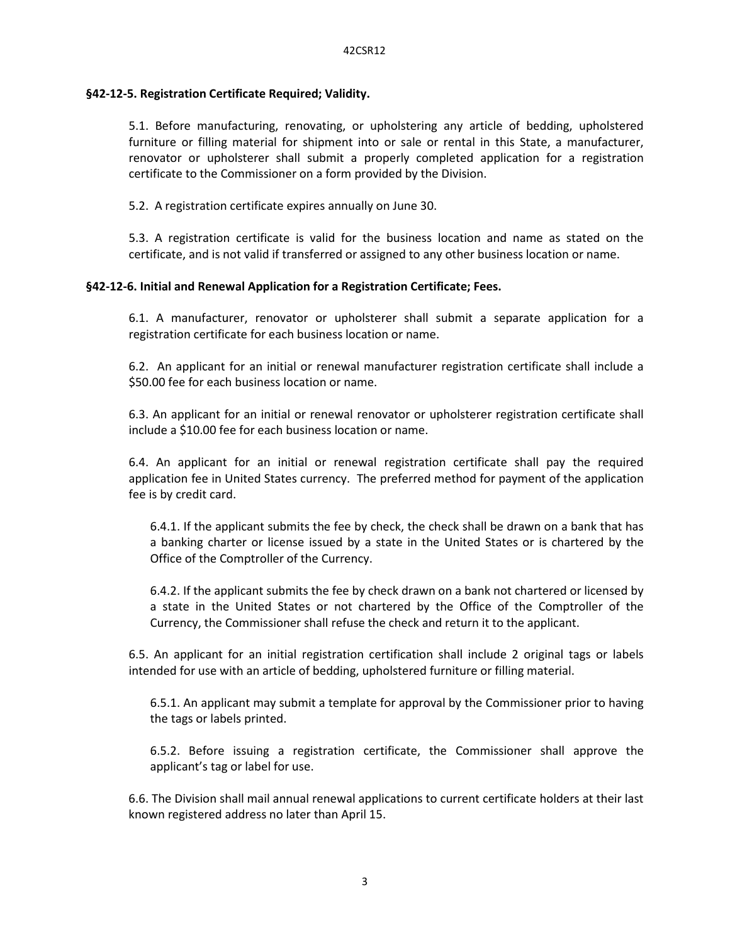#### **§42-12-5. Registration Certificate Required; Validity.**

5.1. Before manufacturing, renovating, or upholstering any article of bedding, upholstered furniture or filling material for shipment into or sale or rental in this State, a manufacturer, renovator or upholsterer shall submit a properly completed application for a registration certificate to the Commissioner on a form provided by the Division.

5.2. A registration certificate expires annually on June 30.

5.3. A registration certificate is valid for the business location and name as stated on the certificate, and is not valid if transferred or assigned to any other business location or name.

#### **§42-12-6. Initial and Renewal Application for a Registration Certificate; Fees.**

6.1. A manufacturer, renovator or upholsterer shall submit a separate application for a registration certificate for each business location or name.

6.2. An applicant for an initial or renewal manufacturer registration certificate shall include a \$50.00 fee for each business location or name.

6.3. An applicant for an initial or renewal renovator or upholsterer registration certificate shall include a \$10.00 fee for each business location or name.

6.4. An applicant for an initial or renewal registration certificate shall pay the required application fee in United States currency. The preferred method for payment of the application fee is by credit card.

6.4.1. If the applicant submits the fee by check, the check shall be drawn on a bank that has a banking charter or license issued by a state in the United States or is chartered by the Office of the Comptroller of the Currency.

6.4.2. If the applicant submits the fee by check drawn on a bank not chartered or licensed by a state in the United States or not chartered by the Office of the Comptroller of the Currency, the Commissioner shall refuse the check and return it to the applicant.

6.5. An applicant for an initial registration certification shall include 2 original tags or labels intended for use with an article of bedding, upholstered furniture or filling material.

6.5.1. An applicant may submit a template for approval by the Commissioner prior to having the tags or labels printed.

6.5.2. Before issuing a registration certificate, the Commissioner shall approve the applicant's tag or label for use.

6.6. The Division shall mail annual renewal applications to current certificate holders at their last known registered address no later than April 15.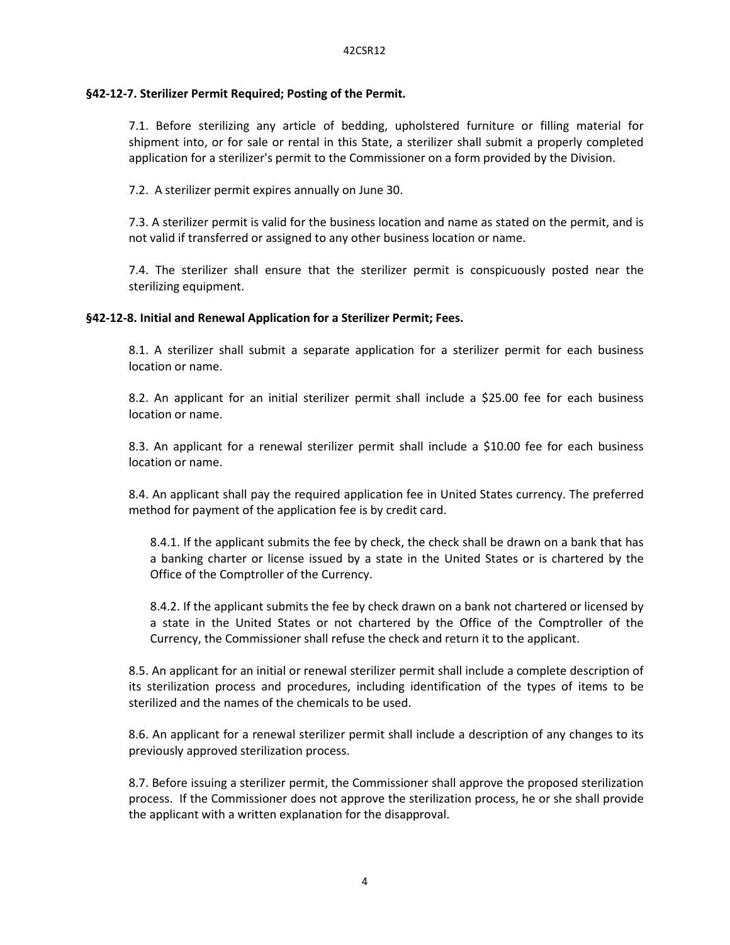## **§42-12-7. Sterilizer Permit Required; Posting of the Permit.**

7.1. Before sterilizing any article of bedding, upholstered furniture or filling material for shipment into, or for sale or rental in this State, a sterilizer shall submit a properly completed application for a sterilizer's permit to the Commissioner on a form provided by the Division.

7.2. A sterilizer permit expires annually on June 30.

7.3. A sterilizer permit is valid for the business location and name as stated on the permit, and is not valid if transferred or assigned to any other business location or name.

7.4. The sterilizer shall ensure that the sterilizer permit is conspicuously posted near the sterilizing equipment.

# **§42-12-8. Initial and Renewal Application for a Sterilizer Permit; Fees.**

8.1. A sterilizer shall submit a separate application for a sterilizer permit for each business location or name.

8.2. An applicant for an initial sterilizer permit shall include a \$25.00 fee for each business location or name.

8.3. An applicant for a renewal sterilizer permit shall include a \$10.00 fee for each business location or name.

8.4. An applicant shall pay the required application fee in United States currency. The preferred method for payment of the application fee is by credit card.

8.4.1. If the applicant submits the fee by check, the check shall be drawn on a bank that has a banking charter or license issued by a state in the United States or is chartered by the Office of the Comptroller of the Currency.

8.4.2. If the applicant submits the fee by check drawn on a bank not chartered or licensed by a state in the United States or not chartered by the Office of the Comptroller of the Currency, the Commissioner shall refuse the check and return it to the applicant.

8.5. An applicant for an initial or renewal sterilizer permit shall include a complete description of its sterilization process and procedures, including identification of the types of items to be sterilized and the names of the chemicals to be used.

8.6. An applicant for a renewal sterilizer permit shall include a description of any changes to its previously approved sterilization process.

8.7. Before issuing a sterilizer permit, the Commissioner shall approve the proposed sterilization process. If the Commissioner does not approve the sterilization process, he or she shall provide the applicant with a written explanation for the disapproval.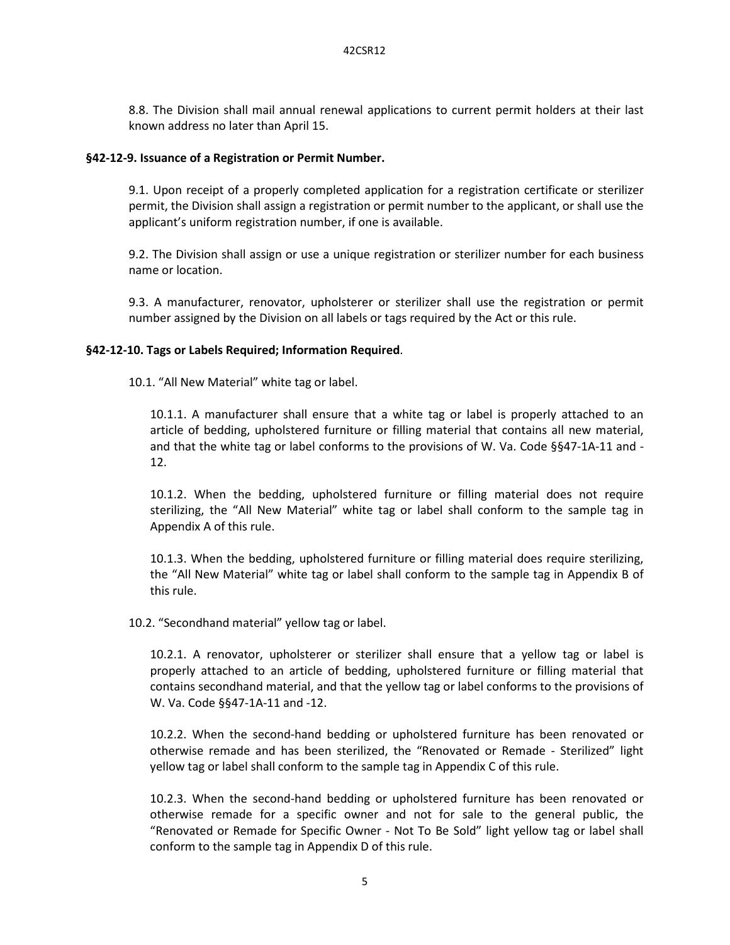8.8. The Division shall mail annual renewal applications to current permit holders at their last known address no later than April 15.

#### **§42-12-9. Issuance of a Registration or Permit Number.**

9.1. Upon receipt of a properly completed application for a registration certificate or sterilizer permit, the Division shall assign a registration or permit number to the applicant, or shall use the applicant's uniform registration number, if one is available.

9.2. The Division shall assign or use a unique registration or sterilizer number for each business name or location.

9.3. A manufacturer, renovator, upholsterer or sterilizer shall use the registration or permit number assigned by the Division on all labels or tags required by the Act or this rule.

#### **§42-12-10. Tags or Labels Required; Information Required**.

10.1. "All New Material" white tag or label.

10.1.1. A manufacturer shall ensure that a white tag or label is properly attached to an article of bedding, upholstered furniture or filling material that contains all new material, and that the white tag or label conforms to the provisions of W. Va. Code §§47-1A-11 and - 12.

10.1.2. When the bedding, upholstered furniture or filling material does not require sterilizing, the "All New Material" white tag or label shall conform to the sample tag in Appendix A of this rule.

10.1.3. When the bedding, upholstered furniture or filling material does require sterilizing, the "All New Material" white tag or label shall conform to the sample tag in Appendix B of this rule.

10.2. "Secondhand material" yellow tag or label.

10.2.1. A renovator, upholsterer or sterilizer shall ensure that a yellow tag or label is properly attached to an article of bedding, upholstered furniture or filling material that contains secondhand material, and that the yellow tag or label conforms to the provisions of W. Va. Code §§47-1A-11 and -12.

10.2.2. When the second-hand bedding or upholstered furniture has been renovated or otherwise remade and has been sterilized, the "Renovated or Remade - Sterilized" light yellow tag or label shall conform to the sample tag in Appendix C of this rule.

10.2.3. When the second-hand bedding or upholstered furniture has been renovated or otherwise remade for a specific owner and not for sale to the general public, the "Renovated or Remade for Specific Owner - Not To Be Sold" light yellow tag or label shall conform to the sample tag in Appendix D of this rule.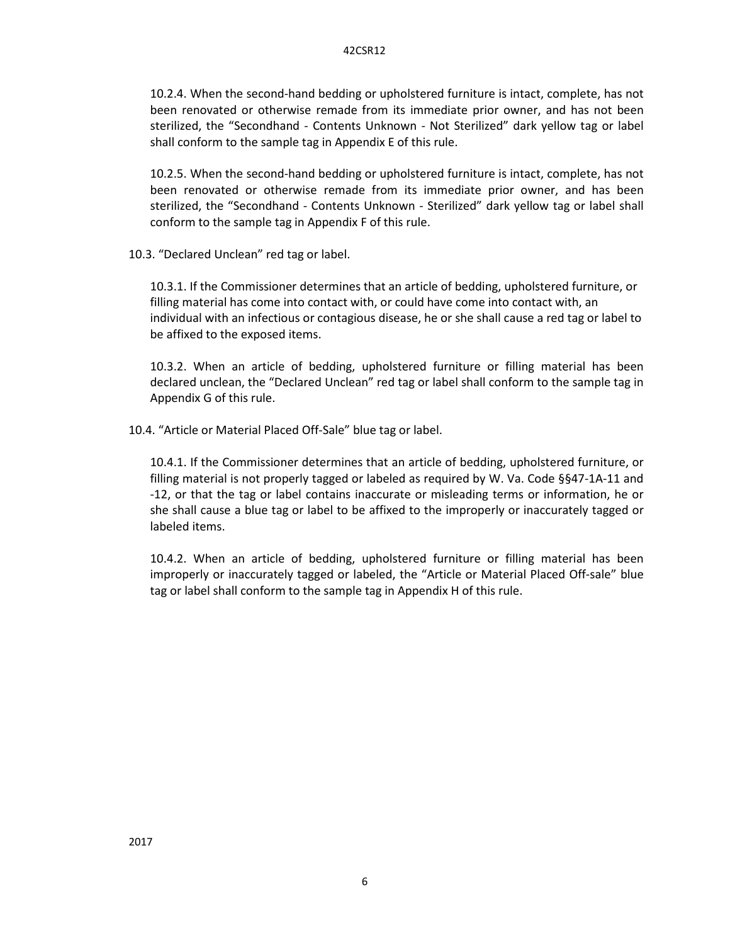10.2.4. When the second-hand bedding or upholstered furniture is intact, complete, has not been renovated or otherwise remade from its immediate prior owner, and has not been sterilized, the "Secondhand - Contents Unknown - Not Sterilized" dark yellow tag or label shall conform to the sample tag in Appendix E of this rule.

10.2.5. When the second-hand bedding or upholstered furniture is intact, complete, has not been renovated or otherwise remade from its immediate prior owner, and has been sterilized, the "Secondhand - Contents Unknown - Sterilized" dark yellow tag or label shall conform to the sample tag in Appendix F of this rule.

10.3. "Declared Unclean" red tag or label.

10.3.1. If the Commissioner determines that an article of bedding, upholstered furniture, or filling material has come into contact with, or could have come into contact with, an individual with an infectious or contagious disease, he or she shall cause a red tag or label to be affixed to the exposed items.

10.3.2. When an article of bedding, upholstered furniture or filling material has been declared unclean, the "Declared Unclean" red tag or label shall conform to the sample tag in Appendix G of this rule.

10.4. "Article or Material Placed Off-Sale" blue tag or label.

10.4.1. If the Commissioner determines that an article of bedding, upholstered furniture, or filling material is not properly tagged or labeled as required by W. Va. Code §§47-1A-11 and -12, or that the tag or label contains inaccurate or misleading terms or information, he or she shall cause a blue tag or label to be affixed to the improperly or inaccurately tagged or labeled items.

10.4.2. When an article of bedding, upholstered furniture or filling material has been improperly or inaccurately tagged or labeled, the "Article or Material Placed Off-sale" blue tag or label shall conform to the sample tag in Appendix H of this rule.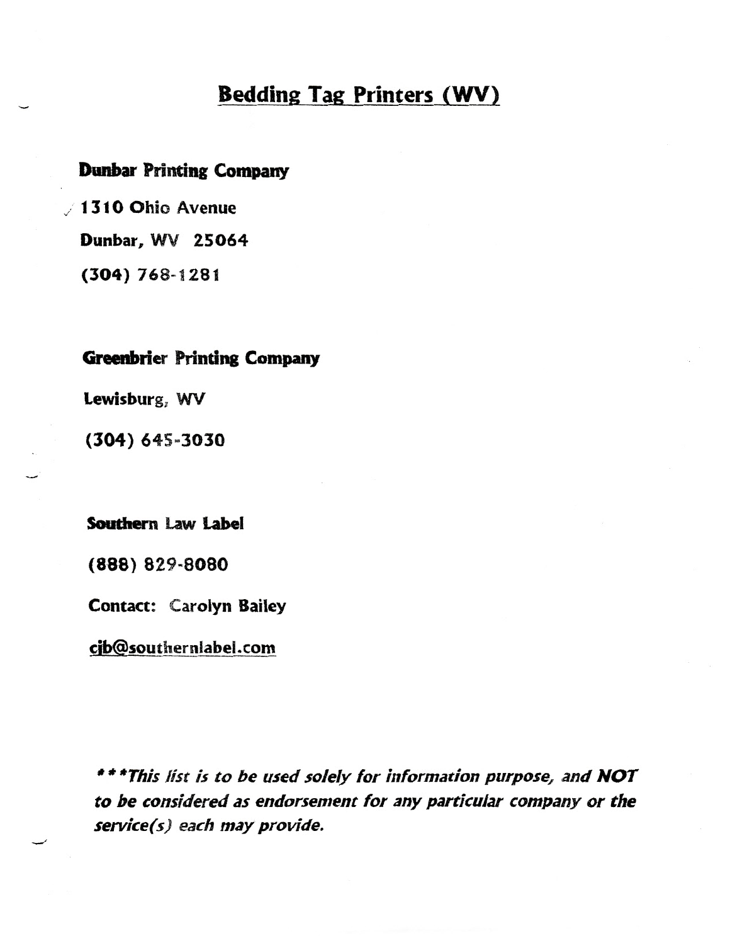# **Bedding Tag Printers (WV)**

# **Dunbar Printing Company**

/ 1310 Ohio Avenue Dunbar, WV 25064  $(304) 768 - 1281$ 

# **Greenbrier Printing Company**

Lewisburg, WV

 $(304) 645 - 3030$ 

Southern Law Label

(888) 829-8080

**Contact: Carolyn Bailey** 

cjb@southernlabel.com

\*\*\* This list is to be used solely for information purpose, and NOT to be considered as endorsement for any particular company or the service(s) each may provide.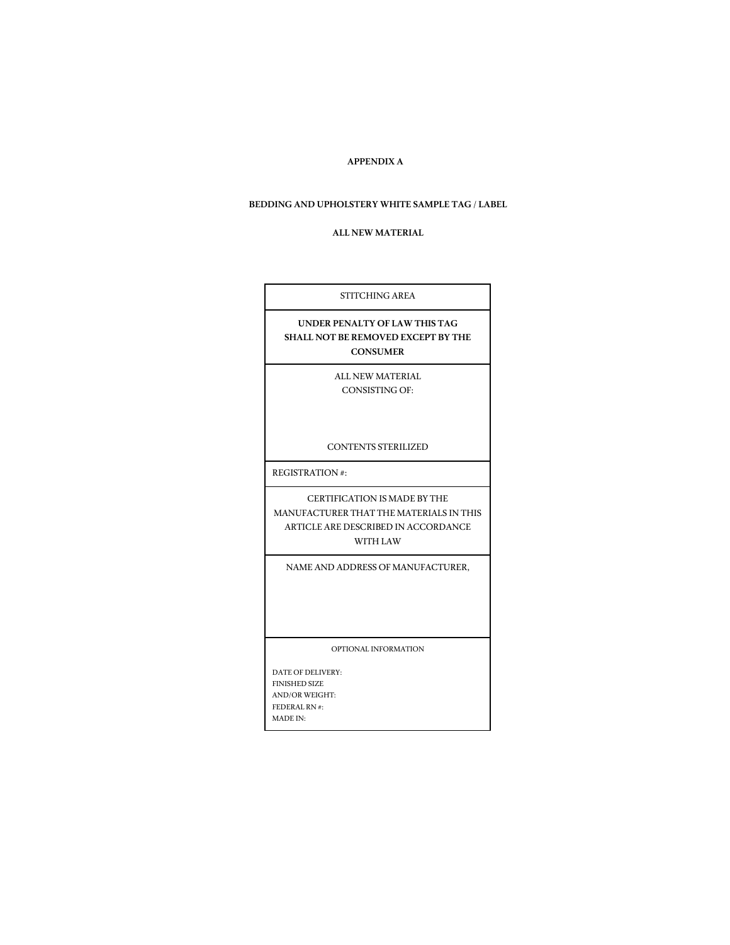#### **APPENDIX A**

#### **BEDDING AND UPHOLSTERY WHITE SAMPLE TAG / LABEL**

#### **ALL NEW MATERIAL**

| STITCHING AREA                                                                                                             |
|----------------------------------------------------------------------------------------------------------------------------|
| UNDER PENALTY OF LAW THIS TAG<br>SHALL NOT BE REMOVED EXCEPT BY THE<br><b>CONSUMER</b>                                     |
| ALL NEW MATERIAL<br><b>CONSISTING OF:</b>                                                                                  |
| <b>CONTENTS STERILIZED</b>                                                                                                 |
| REGISTRATION#:                                                                                                             |
| CERTIFICATION IS MADE BY THE<br>MANUFACTURER THAT THE MATERIALS IN THIS<br>ARTICLE ARE DESCRIBED IN ACCORDANCE<br>WITH LAW |
| NAME AND ADDRESS OF MANUFACTURER,                                                                                          |
| OPTIONAL INFORMATION                                                                                                       |
| DATE OF DELIVERY-<br><b>FINISHED SIZE</b><br><b>AND/OR WEIGHT:</b><br>FEDERAL RN #:<br><b>MADE IN:</b>                     |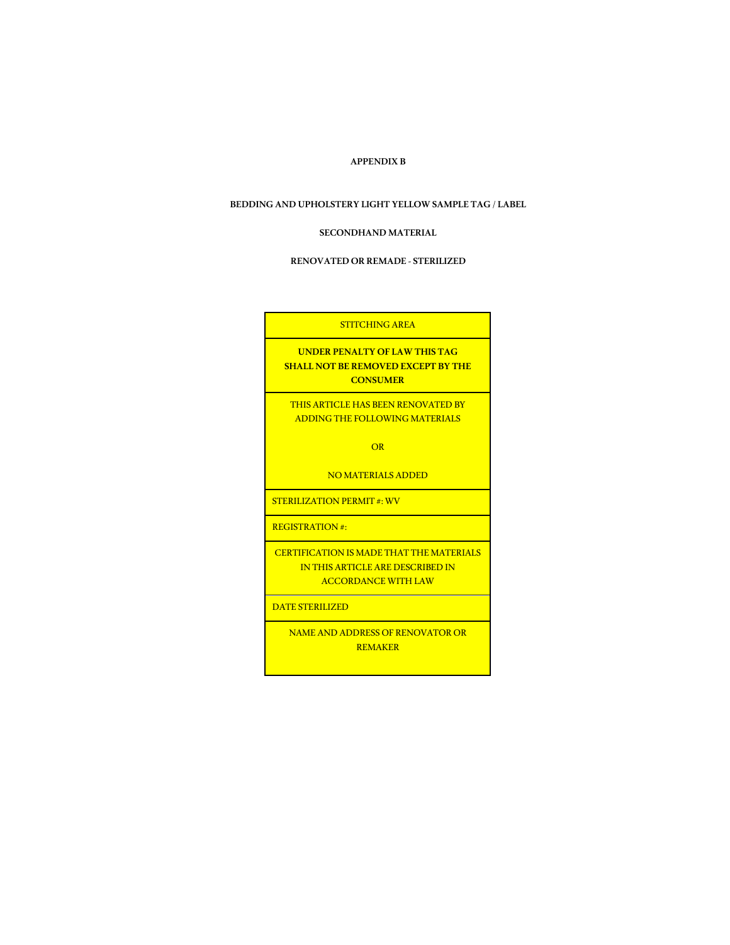#### **APPENDIX B**

#### **BEDDING AND UPHOLSTERY LIGHT YELLOW SAMPLE TAG / LABEL**

#### **SECONDHAND MATERIAL**

#### **RENOVATED OR REMADE -STERILIZED**

| <b>STITCHING AREA</b>                                                                                             |
|-------------------------------------------------------------------------------------------------------------------|
| <b>UNDER PENALTY OF LAW THIS TAG</b><br><b>SHALL NOT BE REMOVED EXCEPT BY THE</b><br><b>CONSUMER</b>              |
| <b>THIS ARTICLE HAS BEEN RENOVATED BY</b><br>ADDING THE FOLLOWING MATERIALS                                       |
| OR                                                                                                                |
| <b>NO MATERIALS ADDED</b>                                                                                         |
| <b>STERILIZATION PERMIT #: WV</b>                                                                                 |
| $REGISTRATION +$                                                                                                  |
| <b>CERTIFICATION IS MADE THAT THE MATERIALS</b><br>IN THIS ARTICLE ARE DESCRIBED IN<br><b>ACCORDANCE WITH LAW</b> |
| <b>DATE STERILIZED</b>                                                                                            |
| <b>NAME AND ADDRESS OF RENOVATOR OR</b><br><b>REMAKER</b>                                                         |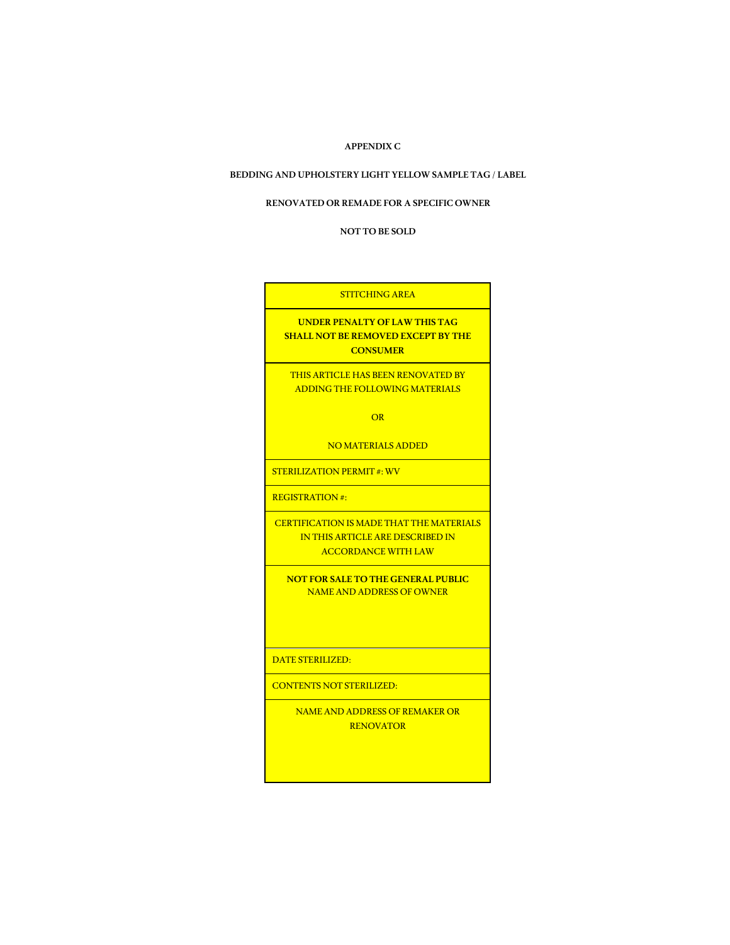#### **APPENDIX C**

#### **BEDDING AND UPHOLSTERY LIGHT YELLOW SAMPLE TAG / LABEL**

#### **RENOVATED OR REMADE FOR A SPECIFIC OWNER**

 **NOT TO BE SOLD**

#### STITCHING AREA

**UNDER PENALTY OF LAW THIS TAG SHALL NOT BE REMOVED EXCEPT BY THE CONSUMER**

THIS ARTICLE HAS BEEN RENOVATED BY ADDING THE FOLLOWING MATERIALS

**OR** 

NO MATERIALS ADDED

STERILIZATION PERMIT #: WV

REGISTRATION #:

CERTIFICATION IS MADE THAT THE MATERIALS IN THIS ARTICLE ARE DESCRIBED IN ACCORDANCE WITH LAW

**NOT FOR SALE TO THE GENERAL PUBLIC** NAME AND ADDRESS OF OWNER

DATE STERILIZED:

CONTENTS NOT STERILIZED:

NAME AND ADDRESS OF REMAKER OR RENOVATOR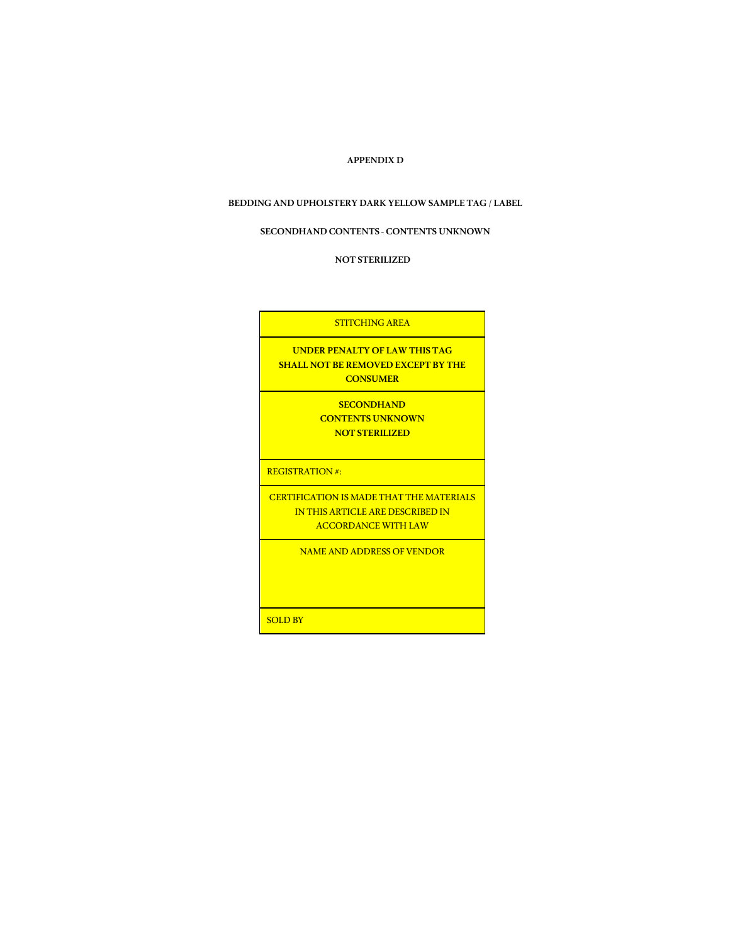#### **APPENDIX D**

#### **BEDDING AND UPHOLSTERY DARK YELLOW SAMPLE TAG / LABEL**

#### **SECONDHAND CONTENTS - CONTENTS UNKNOWN**

 **NOT STERILIZED**

STITCHING AREA **UNDER PENALTY OF LAW THIS TAG SHALL NOT BE REMOVED EXCEPT BY THE CONSUMER SECONDHAND CONTENTS UNKNOWN NOT STERILIZED** REGISTRATION #: CERTIFICATION IS MADE THAT THE MATERIALS IN THIS ARTICLE ARE DESCRIBED IN ACCORDANCE WITH LAW NAME AND ADDRESS OF VENDOR SOLD BY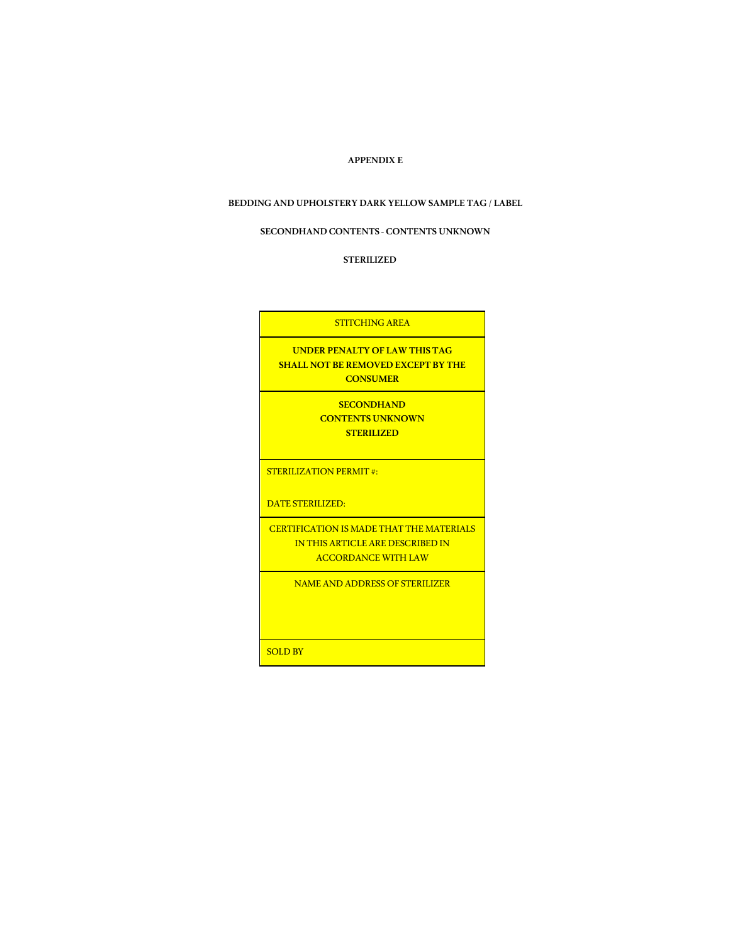#### **APPENDIX E**

#### **BEDDING AND UPHOLSTERY DARK YELLOW SAMPLE TAG / LABEL**

#### **SECONDHAND CONTENTS - CONTENTS UNKNOWN**

 **STERILIZED**

STITCHING AREA **UNDER PENALTY OF LAW THIS TAG SHALL NOT BE REMOVED EXCEPT BY THE CONSUMER SECONDHAND CONTENTS UNKNOWN STERILIZED** STERILIZATION PERMIT #: DATE STERILIZED: CERTIFICATION IS MADE THAT THE MATERIALS IN THIS ARTICLE ARE DESCRIBED IN ACCORDANCE WITH LAW NAME AND ADDRESS OF STERILIZER SOLD BY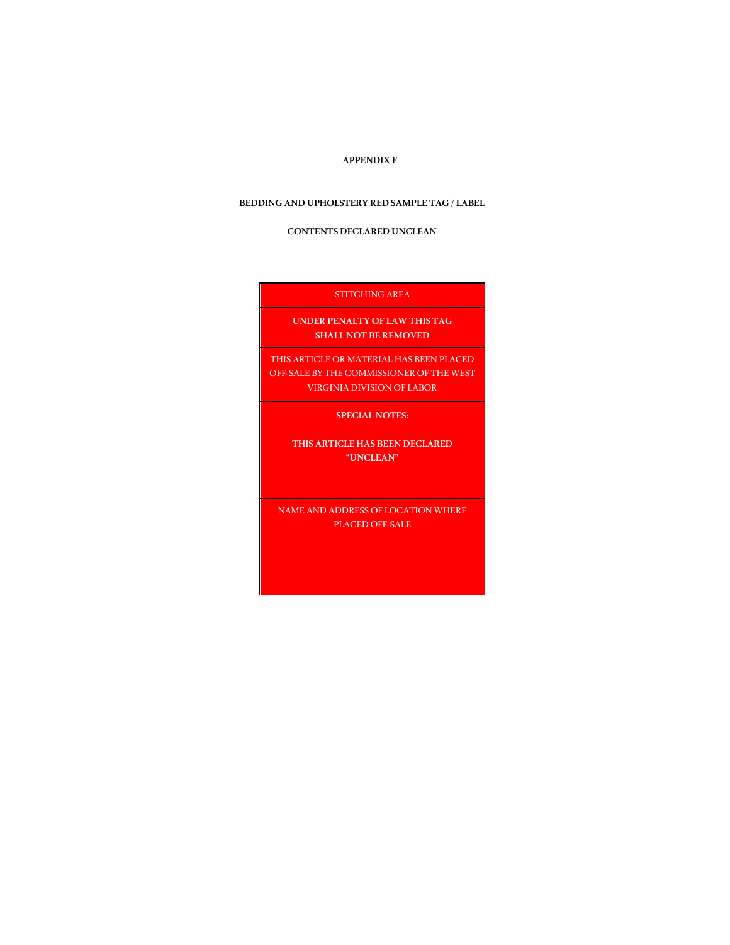#### **APPENDIX F**

#### **BEDDING AND UPHOLSTERY RED SAMPLE TAG / LABEL**

#### **CONTENTS DECLARED UNCLEAN**

# **STITCHING AREA**

**Contract Contract Contract** 

**UNDER PENALTY OF LAW THIS TAG SHALL NOT BE REMOVED**

THIS ARTICLE OR MATERIAL HAS BEEN PLACED OFF-SALE BY THE COMMISSIONER OF THE WEST VIRGINIA DIVISION OF LABOR

<u> 1980 - Jan Samuel Barbara, martin a shekara tsara 1980 - An tsara 1980 - An tsara 1980 - An tsara 1980 - An t</u> **SPECIAL NOTES:**

**THIS ARTICLE HAS BEEN DECLARED "UNCLEAN"**

NAME AND ADDRESS OF LOCATION WHERE PLACED OFF-SALE